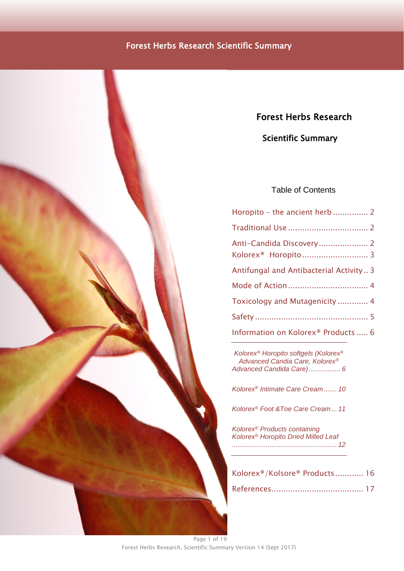# Forest Herbs Research

# Scientific Summary

# Table of Contents

| Horopito - the ancient herb 2                   |
|-------------------------------------------------|
|                                                 |
| Anti-Candida Discovery 2                        |
|                                                 |
| Antifungal and Antibacterial Activity 3         |
|                                                 |
| Toxicology and Mutagenicity  4                  |
|                                                 |
| Information on Kolorex <sup>®</sup> Products  6 |

*Kolorex® [Horopito softgels \(Kolorex](#page-5-1)® [Advanced Candia Care, Kolorex](#page-5-1)® [Advanced Candida Care\).................](#page-5-1) 6*

*Kolorex® [Intimate Care Cream.......](#page-9-0) 10*

*Kolorex® [Foot &Toe Care Cream...](#page-10-0) 11*

*Kolorex® [Products containing](#page-11-0)  Kolorex® [Horopito Dried Milled Leaf](#page-11-0) [........................................................](#page-11-0) 12*

| Kolorex®/Kolsore® Products 16 |  |
|-------------------------------|--|
|                               |  |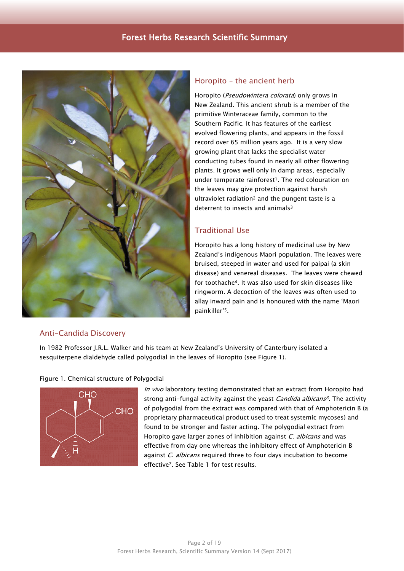

### <span id="page-1-0"></span>Horopito – the ancient herb

Horopito (Pseudowintera colorata) only grows in New Zealand. This ancient shrub is a member of the primitive Winteraceae family, common to the Southern Pacific. It has features of the earliest evolved flowering plants, and appears in the fossil record over 65 million years ago. It is a very slow growing plant that lacks the specialist water conducting tubes found in nearly all other flowering plants. It grows well only in damp areas, especially under temperate rainforest<sup>1</sup>. The red colouration on the leaves may give protection against harsh ultraviolet radiation<sup>2</sup> and the pungent taste is a deterrent to insects and animals<sup>3</sup>

# <span id="page-1-1"></span>Traditional Use

Horopito has a long history of medicinal use by New Zealand's indigenous Maori population. The leaves were bruised, steeped in water and used for paipai (a skin disease) and venereal diseases. The leaves were chewed for toothache4. It was also used for skin diseases like ringworm. A decoction of the leaves was often used to allay inward pain and is honoured with the name 'Maori painkiller'5.

### <span id="page-1-2"></span>Anti-Candida Discovery

In 1982 Professor J.R.L. Walker and his team at New Zealand's University of Canterbury isolated a sesquiterpene dialdehyde called polygodial in the leaves of Horopito (see Figure 1).

#### Figure 1. Chemical structure of Polygodial



<span id="page-1-3"></span>In vivo laboratory testing demonstrated that an extract from Horopito had strong anti-fungal activity against the yeast *Candida albicans<sup>6</sup>*. The activity of polygodial from the extract was compared with that of Amphotericin B (a proprietary pharmaceutical product used to treat systemic mycoses) and found to be stronger and faster acting. The polygodial extract from Horopito gave larger zones of inhibition against C. albicans and was effective from day one whereas the inhibitory effect of Amphotericin B against C. albicans required three to four days incubation to become effective7. See Table 1 for test results.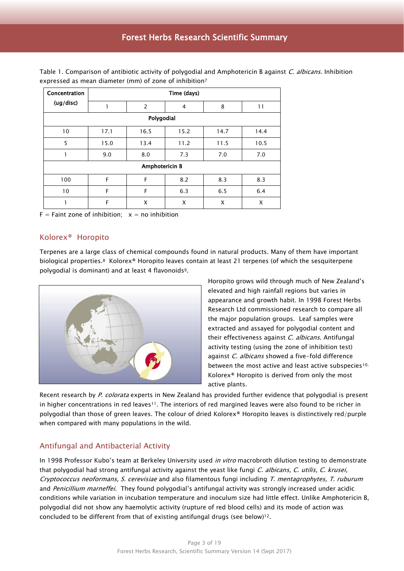| Concentration<br>(ug/disc) | Time (days) |                |                |      |      |  |  |
|----------------------------|-------------|----------------|----------------|------|------|--|--|
|                            | 1           | $\overline{2}$ | $\overline{4}$ | 8    | 11   |  |  |
| Polygodial                 |             |                |                |      |      |  |  |
| 10                         | 17.1        | 16.5           | 15.2           | 14.7 | 14.4 |  |  |
| 5                          | 15.0        | 13.4           | 11.2           | 11.5 | 10.5 |  |  |
| 1                          | 9.0         | 8.0            | 7.3            | 7.0  | 7.0  |  |  |
| <b>Amphotericin B</b>      |             |                |                |      |      |  |  |
| 100                        | F           | F              | 8.2            | 8.3  | 8.3  |  |  |
| 10                         | F           | F              | 6.3            | 6.5  | 6.4  |  |  |
|                            | F           | X              | X              | X    | X    |  |  |

Table 1. Comparison of antibiotic activity of polygodial and Amphotericin B against *C. albicans*. Inhibition expressed as mean diameter (mm) of zone of inhibitio[n](#page-1-3)<sup>7</sup>

<span id="page-2-0"></span> $F =$  Faint zone of inhibition;  $x =$  no inhibition

### Kolorex® Horopito

Terpenes are a large class of chemical compounds found in natural products. Many of them have important biological properties.<sup>8</sup> Kolorex® Horopito leaves contain at least 21 terpenes (of which the sesquiterpene polygodial is dominant) and at least 4 flavonoids9.



Horopito grows wild through much of New Zealand's elevated and high rainfall regions but varies in appearance and growth habit. In 1998 Forest Herbs Research Ltd commissioned research to compare all the major population groups. Leaf samples were extracted and assayed for polygodial content and their effectiveness against C. albicans. Antifungal activity testing (using the zone of inhibition test) against *C. albicans* showed a five-fold difference between the most active and least active subspecies<sup>10.</sup> Kolorex® Horopito is derived from only the most active plants.

Recent research by P. colorata experts in New Zealand has provided further evidence that polygodial is present in higher concentrations in red leaves<sup>11</sup>. The interiors of red margined leaves were also found to be richer in polygodial than those of green leaves. The colour of dried Kolorex® Horopito leaves is distinctively red/purple when compared with many populations in the wild.

### <span id="page-2-1"></span>Antifungal and Antibacterial Activity

In 1998 Professor Kubo's team at Berkeley University used *in vitro* macrobroth dilution testing to demonstrate that polygodial had strong antifungal activity against the yeast like fungi C. albicans, C. utilis, C. krusei, Cryptococcus neoformans, S. cerevisiae and also filamentous fungi including T. mentagrophytes, T. ruburum and Penicillium marneffei. They found polygodial's antifungal activity was strongly increased under acidic conditions while variation in incubation temperature and inoculum size had little effect. Unlike Amphotericin B, polygodial did not show any haemolytic activity (rupture of red blood cells) and its mode of action was concluded to be different from that of existing antifungal drugs (see below)12.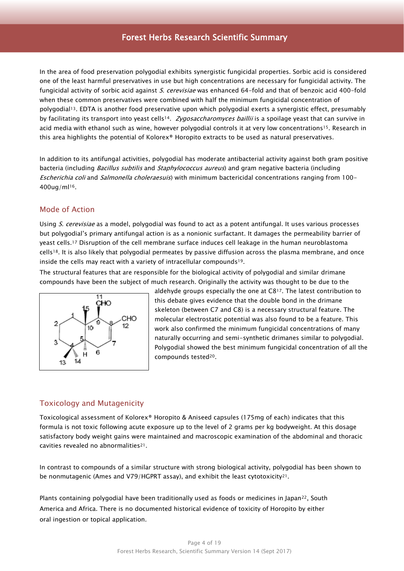In the area of food preservation polygodial exhibits synergistic fungicidal properties. Sorbic acid is considered one of the least harmful preservatives in use but high concentrations are necessary for fungicidal activity. The fungicidal activity of sorbic acid against S. cerevisiae was enhanced 64-fold and that of benzoic acid 400-fold when these common preservatives were combined with half the minimum fungicidal concentration of polygodial13. EDTA is another food preservative upon which polygodial exerts a synergistic effect, presumably by facilitating its transport into yeast cells<sup>14</sup>. Zygosaccharomyces baillii is a spoilage yeast that can survive in acid media with ethanol such as wine, however polygodial controls it at very low concentrations<sup>15</sup>. Research in this area highlights the potential of Kolorex® Horopito extracts to be used as natural preservatives.

In addition to its antifungal activities, polygodial has moderate antibacterial activity against both gram positive bacteria (including Bacillus subtilis and Staphylococcus aureus) and gram negative bacteria (including Escherichia coli and Salmonella choleraesuis) with minimum bactericidal concentrations ranging from 100- 400ug/ml16.

### <span id="page-3-0"></span>Mode of Action

<span id="page-3-2"></span>Using S. cerevisiae as a model, polygodial was found to act as a potent antifungal. It uses various processes but polygodial's primary antifungal action is as a nonionic surfactant. It damages the permeability barrier of yeast cells.<sup>17</sup> Disruption of the cell membrane surface induces cell leakage in the human neuroblastoma cells18. It is also likely that polygodial permeates by passive diffusion across the plasma membrane, and once inside the cells may react with a variety of intracellular compounds19.

The structural features that are responsible for the biological activity of polygodial and similar drimane compounds have been the subject of much research. Originally the activity was thought to be due to the



aldehyde groups especially the one at C8[17](#page-3-2). The latest contribution to this debate gives evidence that the double bond in the drimane skeleton (between C7 and C8) is a necessary structural feature. The molecular electrostatic potential was also found to be a feature. This work also confirmed the minimum fungicidal concentrations of many naturally occurring and semi-synthetic drimanes similar to polygodial. Polygodial showed the best minimum fungicidal concentration of all the compounds tested20.

### <span id="page-3-1"></span>Toxicology and Mutagenicity

Toxicological assessment of Kolorex® Horopito & Aniseed capsules (175mg of each) indicates that this formula is not toxic following acute exposure up to the level of 2 grams per kg bodyweight. At this dosage satisfactory body weight gains were maintained and macroscopic examination of the abdominal and thoracic cavities revealed no abnormalities21.

<span id="page-3-3"></span>In contrast to compounds of a similar structure with strong biological activity, polygodial has been shown to be nonmutagenic (Ames and V79/HGPRT assay), and exhibit the least cytotoxicity<sup>[21](#page-3-3)</sup>.

Plants containing polygodial have been traditionally used as foods or medicines in Japan<sup>22</sup>, South America and Africa. There is no documented historical evidence of toxicity of Horopito by either oral ingestion or topical application.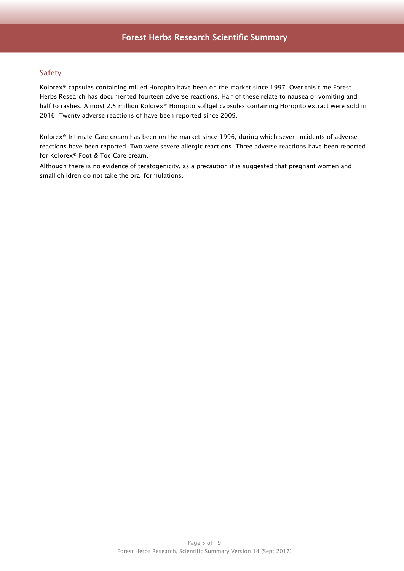# <span id="page-4-0"></span>Safety

Kolorex® capsules containing milled Horopito have been on the market since 1997. Over this time Forest Herbs Research has documented fourteen adverse reactions. Half of these relate to nausea or vomiting and half to rashes. Almost 2.5 million Kolorex® Horopito softgel capsules containing Horopito extract were sold in 2016. Twenty adverse reactions of have been reported since 2009.

Kolorex® Intimate Care cream has been on the market since 1996, during which seven incidents of adverse reactions have been reported. Two were severe allergic reactions. Three adverse reactions have been reported for Kolorex® Foot & Toe Care cream.

Although there is no evidence of teratogenicity, as a precaution it is suggested that pregnant women and small children do not take the oral formulations.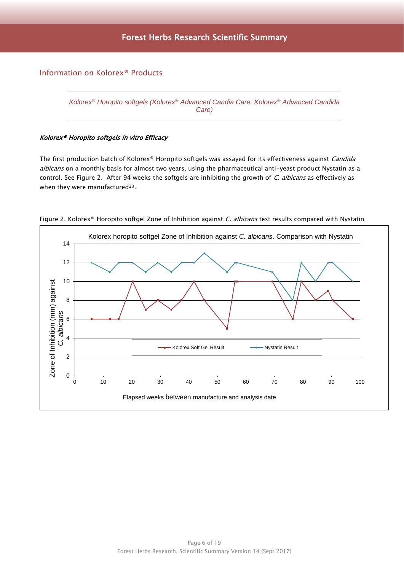# <span id="page-5-1"></span><span id="page-5-0"></span>Information on Kolorex® Products

*Kolorex® Horopito softgels (Kolorex® Advanced Candia Care, Kolorex® Advanced Candida Care)*

### Kolorex® Horopito softgels in vitro Efficacy

The first production batch of Kolorex® Horopito softgels was assayed for its effectiveness against Candida albicans on a monthly basis for almost two years, using the pharmaceutical anti-yeast product Nystatin as a control. See Figure 2. After 94 weeks the softgels are inhibiting the growth of C. albicans as effectively as when they were manufactured<sup>23</sup>.



Figure 2. Kolorex® Horopito softgel Zone of Inhibition against C. albicans test results compared with Nystatin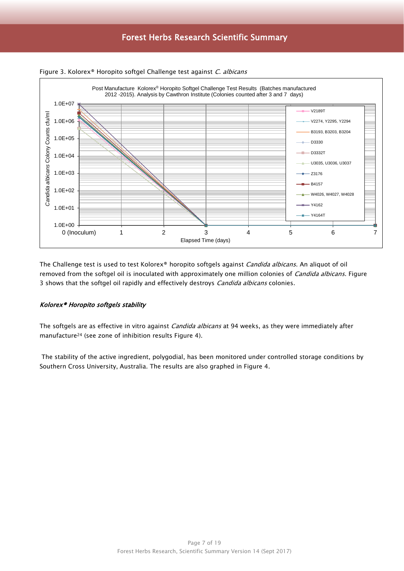



The Challenge test is used to test Kolorex® horopito softgels against Candida albicans. An aliquot of oil removed from the softgel oil is inoculated with approximately one million colonies of Candida albicans. Figure 3 shows that the softgel oil rapidly and effectively destroys *Candida albicans* colonies.

#### Kolorex® Horopito softgels stability

The softgels are as effective in vitro against Candida albicans at 94 weeks, as they were immediately after manufacture<sup>24</sup> (see zone of inhibition results Figure 4).

The stability of the active ingredient, polygodial, has been monitored under controlled storage conditions by Southern Cross University, Australia. The results are also graphed in Figure 4.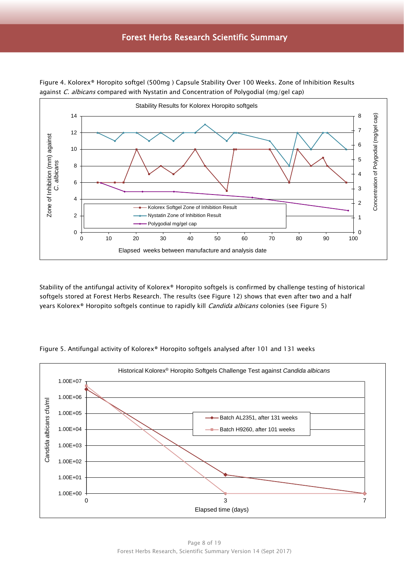

Figure 4. Kolorex® Horopito softgel (500mg ) Capsule Stability Over 100 Weeks. Zone of Inhibition Results against  $C$ . albicans compared with Nystatin and Concentration of Polygodial (mg/gel cap)

Stability of the antifungal activity of Kolorex® Horopito softgels is confirmed by challenge testing of historical softgels stored at Forest Herbs Research. The results (see Figure 12) shows that even after two and a half years Kolorex® Horopito softgels continue to rapidly kill *Candida albicans* colonies (see Figure 5)



Figure 5. Antifungal activity of Kolorex® Horopito softgels analysed after 101 and 131 weeks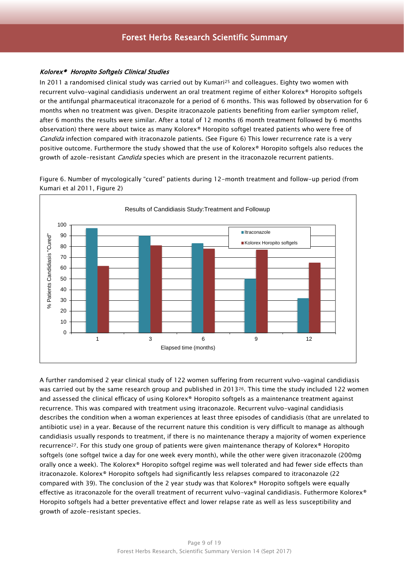#### Kolorex® Horopito Softgels Clinical Studies

In 2011 a randomised clinical study was carried out by Kumari<sup>25</sup> and colleagues. Eighty two women with recurrent vulvo-vaginal candidiasis underwent an oral treatment regime of either Kolorex® Horopito softgels or the antifungal pharmaceutical itraconazole for a period of 6 months. This was followed by observation for 6 months when no treatment was given. Despite itraconazole patients benefiting from earlier symptom relief, after 6 months the results were similar. After a total of 12 months (6 month treatment followed by 6 months observation) there were about twice as many Kolorex® Horopito softgel treated patients who were free of Candida infection compared with itraconazole patients. (See Figure 6) This lower recurrence rate is a very positive outcome. Furthermore the study showed that the use of Kolorex® Horopito softgels also reduces the growth of azole-resistant *Candida* species which are present in the itraconazole recurrent patients.

Figure 6. Number of mycologically "cured" patients during 12-month treatment and follow-up period (from Kumari et al 2011, Figure 2)



A further randomised 2 year clinical study of 122 women suffering from recurrent vulvo-vaginal candidiasis was carried out by the same research group and published in 2013 $^{26}$ . This time the study included 122 women and assessed the clinical efficacy of using Kolorex® Horopito softgels as a maintenance treatment against recurrence. This was compared with treatment using itraconazole. Recurrent vulvo-vaginal candidiasis describes the condition when a woman experiences at least three episodes of candidiasis (that are unrelated to antibiotic use) in a year. Because of the recurrent nature this condition is very difficult to manage as although candidiasis usually responds to treatment, if there is no maintenance therapy a majority of women experience recurrence27. For this study one group of patients were given maintenance therapy of Kolorex® Horopito softgels (one softgel twice a day for one week every month), while the other were given itraconazole (200mg orally once a week). The Kolorex® Horopito softgel regime was well tolerated and had fewer side effects than itraconazole. Kolorex® Horopito softgels had significantly less relapses compared to itraconazole (22 compared with 39). The conclusion of the 2 year study was that Kolorex® Horopito softgels were equally effective as itraconazole for the overall treatment of recurrent vulvo-vaginal candidiasis. Futhermore Kolorex® Horopito softgels had a better preventative effect and lower relapse rate as well as less susceptibility and growth of azole-resistant species.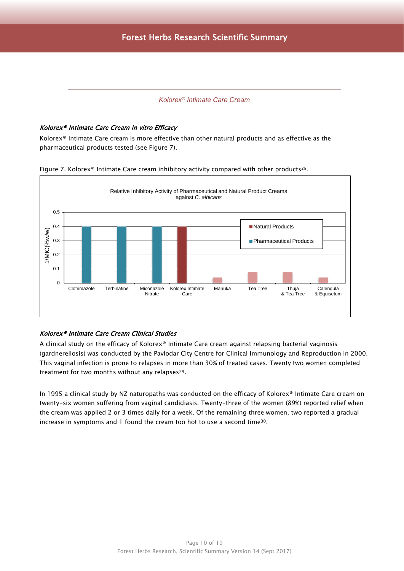#### *Kolorex® Intimate Care Cream*

#### <span id="page-9-0"></span>Kolorex® Intimate Care Cream in vitro Efficacy

Kolorex® Intimate Care cream is more effective than other natural products and as effective as the pharmaceutical products tested (see Figure 7).





### Kolorex® Intimate Care Cream Clinical Studies

A clinical study on the efficacy of Kolorex® Intimate Care cream against relapsing bacterial vaginosis (gardnerellosis) was conducted by the Pavlodar City Centre for Clinical Immunology and Reproduction in 2000. This vaginal infection is prone to relapses in more than 30% of treated cases. Twenty two women completed treatment for two months without any relapses29.

In 1995 a clinical study by NZ naturopaths was conducted on the efficacy of Kolorex® Intimate Care cream on twenty-six women suffering from vaginal candidiasis. Twenty-three of the women (89%) reported relief when the cream was applied 2 or 3 times daily for a week. Of the remaining three women, two reported a gradual increase in symptoms and 1 found the cream too hot to use a second time30.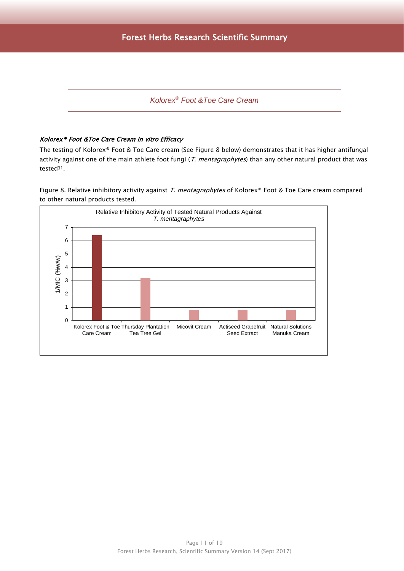# *Kolorex® Foot &Toe Care Cream*

#### <span id="page-10-0"></span>Kolorex® Foot &Toe Care Cream in vitro Efficacy

The testing of Kolorex® Foot & Toe Care cream (See Figure 8 below) demonstrates that it has higher antifungal activity against one of the main athlete foot fungi (T. mentagraphytes) than any other natural product that was tested<sup>31</sup>.

Figure 8. Relative inhibitory activity against T. mentagraphytes of Kolorex® Foot & Toe Care cream compared to other natural products tested.

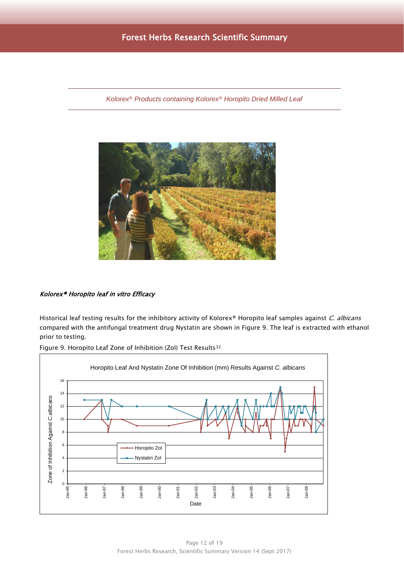<span id="page-11-0"></span>*Kolorex® Products containing Kolorex® Horopito Dried Milled Leaf*



### Kolorex® Horopito leaf in vitro Efficacy

Historical leaf testing results for the inhibitory activity of Kolorex® Horopito leaf samples against C. albicans compared with the antifungal treatment drug Nystatin are shown in Figure 9. The leaf is extracted with ethanol prior to testing.



Figure 9. Horopito Leaf Zone of Inhibition (ZoI) Test Results<sup>32</sup>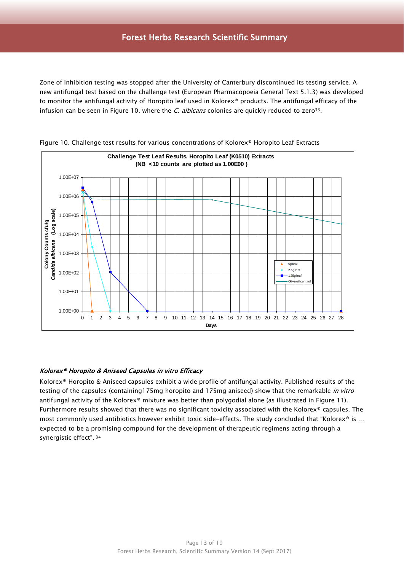Zone of Inhibition testing was stopped after the University of Canterbury discontinued its testing service. A new antifungal test based on the challenge test (European Pharmacopoeia General Text 5.1.3) was developed to monitor the antifungal activity of Horopito leaf used in Kolorex® products. The antifungal efficacy of the infusion can be seen in Figure 10. where the  $C.$  albicans colonies are quickly reduced to zero<sup>33</sup>.





#### Kolorex® Horopito & Aniseed Capsules in vitro Efficacy

<span id="page-12-0"></span>Kolorex® Horopito & Aniseed capsules exhibit a wide profile of antifungal activity. Published results of the testing of the capsules (containing175mg horopito and 175mg aniseed) show that the remarkable in vitro antifungal activity of the Kolorex® mixture was better than polygodial alone (as illustrated in Figure 11). Furthermore results showed that there was no significant toxicity associated with the Kolorex® capsules. The most commonly used antibiotics however exhibit toxic side-effects. The study concluded that "Kolorex® is ... expected to be a promising compound for the development of therapeutic regimens acting through a synergistic effect". <sup>34</sup>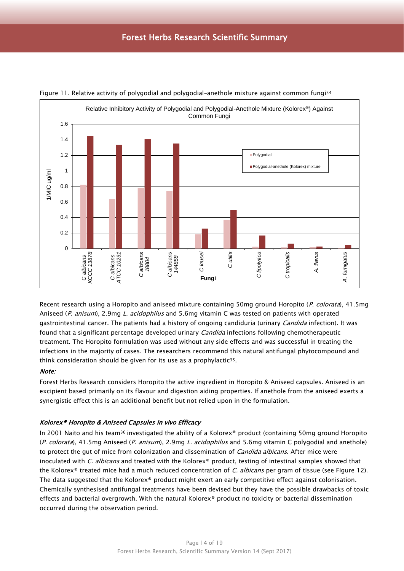

Figure 11. Relative activity of polygodial and polygodial–anethole mixture against common fungi [34](#page-12-0)

Recent research using a Horopito and aniseed mixture containing 50mg ground Horopito (P. colorata), 41.5mg Aniseed (P. anisum), 2.9mg L. acidophilus and 5.6mg vitamin C was tested on patients with operated gastrointestinal cancer. The patients had a history of ongoing candiduria (urinary *Candida* infection). It was found that a significant percentage developed urinary *Candida* infections following chemotherapeutic treatment. The Horopito formulation was used without any side effects and was successful in treating the infections in the majority of cases. The researchers recommend this natural antifungal phytocompound and think consideration should be given for its use as a prophylactic<sup>35</sup>.

#### Note:

Forest Herbs Research considers Horopito the active ingredient in Horopito & Aniseed capsules. Aniseed is an excipient based primarily on its flavour and digestion aiding properties. If anethole from the aniseed exerts a synergistic effect this is an additional benefit but not relied upon in the formulation.

#### Kolorex® Horopito & Aniseed Capsules in vivo Efficacy

<span id="page-13-0"></span>In 2001 Naito and his team<sup>36</sup> investigated the ability of a Kolorex® product (containing 50mg ground Horopito (P. colorata), 41.5mg Aniseed (P. anisum), 2.9mg L. acidophilus and 5.6mg vitamin C polygodial and anethole) to protect the gut of mice from colonization and dissemination of *Candida albicans*. After mice were inoculated with C. albicans and treated with the Kolorex® product, testing of intestinal samples showed that the Kolorex® treated mice had a much reduced concentration of  $C$ . albicans per gram of tissue (see Figure 12). The data suggested that the Kolorex® product might exert an early competitive effect against colonisation. Chemically synthesised antifungal treatments have been devised but they have the possible drawbacks of toxic effects and bacterial overgrowth. With the natural Kolorex® product no toxicity or bacterial dissemination occurred during the observation period.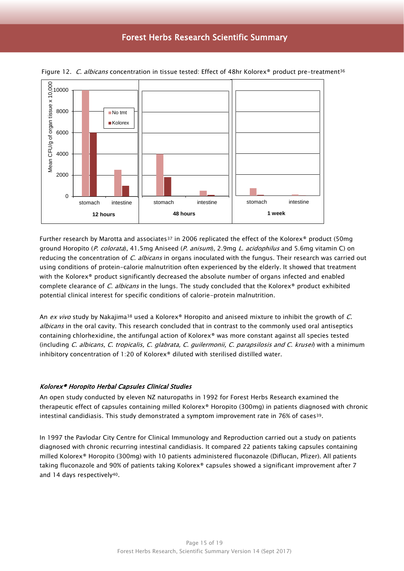

Figure 12. C. albicans concentration in tissue tested: Effect of 48hr Kolorex<sup>®</sup> product pre-treatment<sup>[36](#page-13-0)</sup>

Further research by Marotta and associates<sup>37</sup> in 2006 replicated the effect of the Kolorex<sup>®</sup> product (50mg ground Horopito (P. colorata), 41.5mg Aniseed (P. anisum), 2.9mg L. acidophilus and 5.6mg vitamin C) on reducing the concentration of *C. albicans* in organs inoculated with the fungus. Their research was carried out using conditions of protein-calorie malnutrition often experienced by the elderly. It showed that treatment with the Kolorex® product significantly decreased the absolute number of organs infected and enabled complete clearance of *C. albicans* in the lungs. The study concluded that the Kolorex® product exhibited potential clinical interest for specific conditions of calorie-protein malnutrition.

An ex vivo study by Nakajima<sup>38</sup> used a Kolorex® Horopito and aniseed mixture to inhibit the growth of C. albicans in the oral cavity. This research concluded that in contrast to the commonly used oral antiseptics containing chlorhexidine, the antifungal action of Kolorex® was more constant against all species tested (including C. albicans, C. tropicalis, C. glabrata, C. guilermonii, C. parapsilosis and C. krusei) with a minimum inhibitory concentration of 1:20 of Kolorex® diluted with sterilised distilled water.

#### Kolorex® Horopito Herbal Capsules Clinical Studies

An open study conducted by eleven NZ naturopaths in 1992 for Forest Herbs Research examined the therapeutic effect of capsules containing milled Kolorex® Horopito (300mg) in patients diagnosed with chronic intestinal candidiasis. This study demonstrated a symptom improvement rate in 76% of cases39.

In 1997 the Pavlodar City Centre for Clinical Immunology and Reproduction carried out a study on patients diagnosed with chronic recurring intestinal candidiasis. It compared 22 patients taking capsules containing milled Kolorex® Horopito (300mg) with 10 patients administered fluconazole (Diflucan, Pfizer). All patients taking fluconazole and 90% of patients taking Kolorex® capsules showed a significant improvement after 7 and 14 days respectively<sup>40</sup>.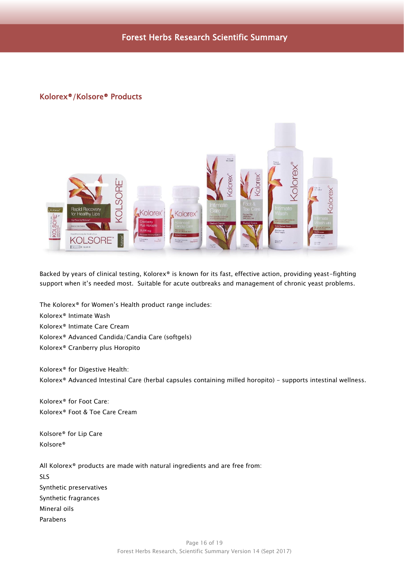# <span id="page-15-0"></span>Kolorex®/Kolsore® Products



Backed by years of clinical testing, Kolorex® is known for its fast, effective action, providing yeast-fighting support when it's needed most. Suitable for acute outbreaks and management of chronic yeast problems.

The Kolorex® for Women's Health product range includes: Kolorex® Intimate Wash Kolorex® Intimate Care Cream Kolorex® Advanced Candida/Candia Care (softgels) Kolorex® Cranberry plus Horopito

Kolorex® for Digestive Health: Kolorex® Advanced Intestinal Care (herbal capsules containing milled horopito) - supports intestinal wellness.

Kolorex® for Foot Care: Kolorex® Foot & Toe Care Cream

Kolsore® for Lip Care Kolsore®

All Kolorex® products are made with natural ingredients and are free from: SLS Synthetic preservatives Synthetic fragrances Mineral oils Parabens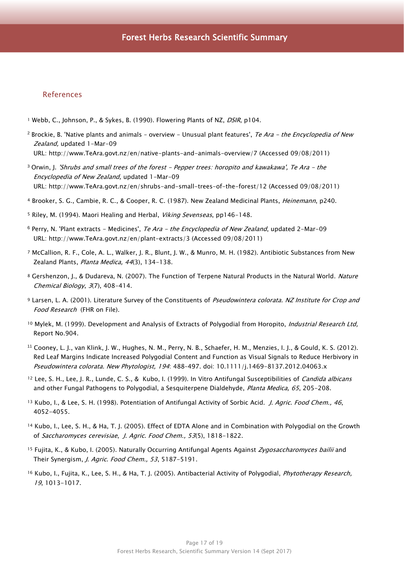### <span id="page-16-0"></span>References

- <sup>1</sup> Webb, C., Johnson, P., & Sykes, B. (1990). Flowering Plants of NZ, DSIR, p104.
- <sup>2</sup> Brockie, B. 'Native plants and animals overview Unusual plant features', Te Ara the Encyclopedia of New Zealand, updated 1-Mar-09 URL: [http://www.TeAra.govt.nz/en/native-plants-and-animals-overview/7](http://www.teara.govt.nz/en/native-plants-and-animals-overview/7) (Accessed 09/08/2011)
- $3$  Orwin, J. 'Shrubs and small trees of the forest Pepper trees: horopito and kawakawa', Te Ara the Encyclopedia of New Zealand, updated 1-Mar-09 URL: [http://www.TeAra.govt.nz/en/shrubs-and-small-trees-of-the-forest/12](http://www.teara.govt.nz/en/shrubs-and-small-trees-of-the-forest/12) (Accessed 09/08/2011)
- <sup>4</sup> Brooker, S. G., Cambie, R. C., & Cooper, R. C. (1987). New Zealand Medicinal Plants, Heinemann, p240.
- 5 Riley, M. (1994). Maori Healing and Herbal, Viking Sevenseas, pp146-148.
- $6$  Perry, N. 'Plant extracts Medicines', Te Ara the Encyclopedia of New Zealand, updated 2-Mar-09 URL: [http://www.TeAra.govt.nz/en/plant-extracts/3](http://www.teara.govt.nz/en/plant-extracts/3) (Accessed 09/08/2011)
- <sup>7</sup> McCallion, R. F., Cole, A. L., Walker, J. R., Blunt, J. W., & Munro, M. H. (1982). Antibiotic Substances from New Zealand Plants, Planta Medica, 44(3), 134-138.
- 8 Gershenzon, J., & Dudareva, N. (2007). The Function of Terpene Natural Products in the Natural World. Nature Chemical Biology, 3(7), 408-414.
- 9 Larsen, L. A. (2001). Literature Survey of the Constituents of Pseudowintera colorata. NZ Institute for Crop and Food Research (FHR on File).
- 10 Mylek, M. (1999). Development and Analysis of Extracts of Polygodial from Horopito, Industrial Research Ltd, Report No.904.
- <sup>11</sup> Cooney, L. J., van Klink, J. W., Hughes, N. M., Perry, N. B., Schaefer, H. M., Menzies, I. J., & Gould, K. S. (2012). Red Leaf Margins Indicate Increased Polygodial Content and Function as Visual Signals to Reduce Herbivory in Pseudowintera colorata. New Phytologist, 194: 488-497. doi: 10.1111/j.1469-8137.2012.04063.x
- <sup>12</sup> Lee, S. H., Lee, J. R., Lunde, C. S., & Kubo, I. (1999). In Vitro Antifungal Susceptibilities of *Candida albicans* and other Fungal Pathogens to Polygodial, a Sesquiterpene Dialdehyde, Planta Medica, 65, 205-208.
- <sup>13</sup> Kubo, I., & Lee, S. H. (1998). Potentiation of Antifungal Activity of Sorbic Acid. *J. Agric. Food Chem., 46*, 4052-4055.
- <sup>14</sup> Kubo, I., Lee, S. H., & Ha, T. J. (2005). Effect of EDTA Alone and in Combination with Polygodial on the Growth of Saccharomyces cerevisiae, J. Agric. Food Chem., 53(5), 1818-1822.
- 15 Fujita, K., & Kubo, I. (2005). Naturally Occurring Antifungal Agents Against Zygosaccharomyces bailii and Their Synergism, J. Agric. Food Chem., 53, 5187-5191.
- <sup>16</sup> Kubo, I., Fujita, K., Lee, S. H., & Ha, T. J. (2005). Antibacterial Activity of Polygodial, *Phytotherapy Research*, 19, 1013-1017.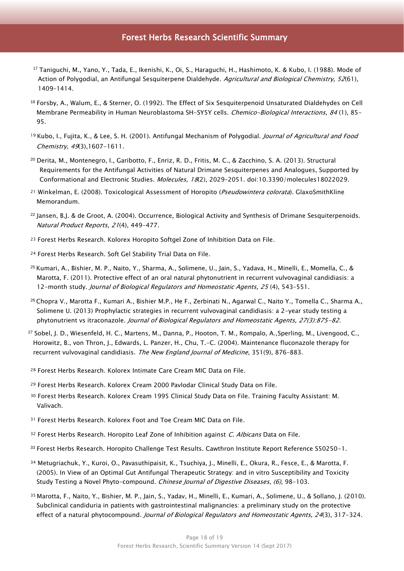- <sup>17</sup> Taniguchi, M., Yano, Y., Tada, E., Ikenishi, K., Oi, S., Haraguchi, H., Hashimoto, K. & Kubo, I. (1988). Mode of Action of Polygodial, an Antifungal Sesquiterpene Dialdehyde. Agricultural and Biological Chemistry, 52(61), 1409–1414.
- <sup>18</sup> Forsby, A., Walum, E., & Sterner, O. (1992). The Effect of Six Sesquiterpenoid Unsaturated Dialdehydes on Cell Membrane Permeability in Human Neuroblastoma SH-SY5Y cells. Chemico-Biological Interactions, 84 (1), 85-95.
- <sup>19</sup> Kubo, I., Fujita, K., & Lee, S. H. (2001). Antifungal Mechanism of Polygodial. *Journal of Agricultural and Food* Chemistry, 49(3),1607-1611.
- <sup>20</sup> Derita, M., Montenegro, I., Garibotto, F., Enriz, R. D., Fritis, M. C., & Zacchino, S. A. (2013). Structural Requirements for the Antifungal Activities of Natural Drimane Sesquiterpenes and Analogues, Supported by Conformational and Electronic Studies. Molecules, 18(2), 2029–2051. doi:10.3390/molecules18022029.
- <sup>21</sup> Winkelman, E. (2008). Toxicological Assessment of Horopito (*Pseudowintera colorata*). GlaxoSmithKline Memorandum.
- $^{22}$  Jansen, B.J. & de Groot, A. (2004). Occurrence, Biological Activity and Synthesis of Drimane Sesquiterpenoids. Natural Product Reports, 21(4), 449-477.
- <sup>23</sup> Forest Herbs Research. Kolorex Horopito Softgel Zone of Inhibition Data on File.
- <sup>24</sup> Forest Herbs Research. Soft Gel Stability Trial Data on File.
- <sup>25</sup> Kumari, A., Bishier, M. P., Naito, Y., Sharma, A., Solimene, U., Jain, S., Yadava, H., Minelli, E., Momella, C., & Marotta, F. (2011). Protective effect of an oral natural phytonutrient in recurrent vulvovaginal candidiasis: a 12-month study. Journal of Biological Regulators and Homeostatic Agents, 25 (4), 543-551.
- <sup>26</sup> [Chopra V.](http://www.ncbi.nlm.nih.gov/pubmed?term=Chopra%20V%5BAuthor%5D&cauthor=true&cauthor_uid=24152852), [Marotta F.](http://www.ncbi.nlm.nih.gov/pubmed?term=Marotta%20F%5BAuthor%5D&cauthor=true&cauthor_uid=24152852), [Kumari A.](http://www.ncbi.nlm.nih.gov/pubmed?term=Kumari%20A%5BAuthor%5D&cauthor=true&cauthor_uid=24152852), [Bishier M.P.](http://www.ncbi.nlm.nih.gov/pubmed?term=Bishier%20MP%5BAuthor%5D&cauthor=true&cauthor_uid=24152852), [He F.](http://www.ncbi.nlm.nih.gov/pubmed?term=He%20F%5BAuthor%5D&cauthor=true&cauthor_uid=24152852), [Zerbinati N.](http://www.ncbi.nlm.nih.gov/pubmed?term=Zerbinati%20N%5BAuthor%5D&cauthor=true&cauthor_uid=24152852), [Agarwal C.](http://www.ncbi.nlm.nih.gov/pubmed?term=Agarwal%20C%5BAuthor%5D&cauthor=true&cauthor_uid=24152852), [Naito Y.](http://www.ncbi.nlm.nih.gov/pubmed?term=Naito%20Y%5BAuthor%5D&cauthor=true&cauthor_uid=24152852)[, Tomella C.](http://www.ncbi.nlm.nih.gov/pubmed?term=Tomella%20C%5BAuthor%5D&cauthor=true&cauthor_uid=24152852), [Sharma A.](http://www.ncbi.nlm.nih.gov/pubmed?term=Sharma%20A%5BAuthor%5D&cauthor=true&cauthor_uid=24152852), [Solimene U.](http://www.ncbi.nlm.nih.gov/pubmed?term=Solimene%20U%5BAuthor%5D&cauthor=true&cauthor_uid=24152852) (2013) Prophylactic strategies in recurrent vulvovaginal candidiasis: a 2-year study testing a phytonutrient vs itraconazole. Journal of Biological Regulators and Homeostatic Agents, 27(3):875-82.
- <sup>27</sup> Sobel, J. D., Wiesenfeld, H. C., Martens, M., Danna, P., Hooton, T. M., Rompalo, A.,Sperling, M., Livengood, C., Horowitz, B., von Thron, J., Edwards, L. Panzer, H., Chu, T.-C. (2004). Maintenance fluconazole therapy for recurrent vulvovaginal candidiasis. The New England Journal of Medicine, 351(9), 876-883.
- <sup>28</sup> Forest Herbs Research. Kolorex Intimate Care Cream MIC Data on File.
- <sup>29</sup> Forest Herbs Research. Kolorex Cream 2000 Pavlodar Clinical Study Data on File.
- <sup>30</sup> Forest Herbs Research. Kolorex Cream 1995 Clinical Study Data on File. Training Faculty Assistant: M. Valivach.
- 31 Forest Herbs Research. Kolorex Foot and Toe Cream MIC Data on File.
- 32 Forest Herbs Research. Horopito Leaf Zone of Inhibition against C. Albicans Data on File.
- 33 Forest Herbs Research. Horopito Challenge Test Results. Cawthron Institute Report Reference S50250-1.
- <sup>34</sup> Metugriachuk, Y., Kuroi, O., Pavasuthipaisit, K., Tsuchiya, J., Minelli, E., Okura, R., Fesce, E., & Marotta, F. (2005). In View of an Optimal Gut Antifungal Therapeutic Strategy: and in vitro Susceptibility and Toxicity Study Testing a Novel Phyto-compound. Chinese Journal of Digestive Diseases, (6), 98-103.
- <sup>35</sup> Marotta, F., Naito, Y., Bishier, M. P., Jain, S., Yadav, H., Minelli, E., Kumari, A., Solimene, U., & Sollano, J. (2010). Subclinical candiduria in patients with gastrointestinal malignancies: a preliminary study on the protective effect of a natural phytocompound. Journal of Biological Regulators and Homeostatic Agents, 24(3), 317-324.